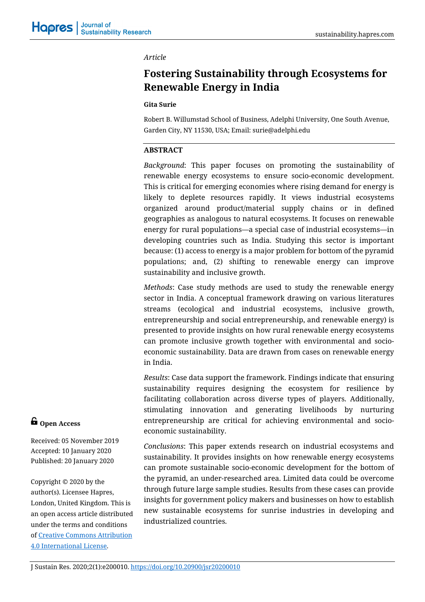### *Article*

# **Fostering Sustainability through Ecosystems for Renewable Energy in India**

#### **Gita Surie**

Robert B. Willumstad School of Business, Adelphi University, One South Avenue, Garden City, NY 11530, USA; Email: surie@adelphi.edu

# **ABSTRACT**

*Background*: This paper focuses on promoting the sustainability of renewable energy ecosystems to ensure socio-economic development. This is critical for emerging economies where rising demand for energy is likely to deplete resources rapidly. It views industrial ecosystems organized around product/material supply chains or in defined geographies as analogous to natural ecosystems. It focuses on renewable energy for rural populations—a special case of industrial ecosystems—in developing countries such as India. Studying this sector is important because: (1) access to energy is a major problem for bottom of the pyramid populations; and, (2) shifting to renewable energy can improve sustainability and inclusive growth.

*Methods*: Case study methods are used to study the renewable energy sector in India. A conceptual framework drawing on various literatures streams (ecological and industrial ecosystems, inclusive growth, entrepreneurship and social entrepreneurship, and renewable energy) is presented to provide insights on how rural renewable energy ecosystems can promote inclusive growth together with environmental and socioeconomic sustainability. Data are drawn from cases on renewable energy in India.

*Results*: Case data support the framework. Findings indicate that ensuring sustainability requires designing the ecosystem for resilience by facilitating collaboration across diverse types of players. Additionally, stimulating innovation and generating livelihoods by nurturing entrepreneurship are critical for achieving environmental and socioeconomic sustainability.

*Conclusions*: This paper extends research on industrial ecosystems and sustainability. It provides insights on how renewable energy ecosystems can promote sustainable socio-economic development for the bottom of the pyramid, an under-researched area. Limited data could be overcome through future large sample studies. Results from these cases can provide insights for government policy makers and businesses on how to establish new sustainable ecosystems for sunrise industries in developing and industrialized countries.

# **G** Open Access

Received: 05 November 2019 Accepted: 10 January 2020 Published: 20 January 2020

Copyright © 2020 by the author(s). Licensee Hapres, London, United Kingdom. This is an open access article distributed under the terms and conditions of [Creative Commons Attribution](https://creativecommons.org/licenses/by/4.0/)  [4.0 International License.](https://creativecommons.org/licenses/by/4.0/)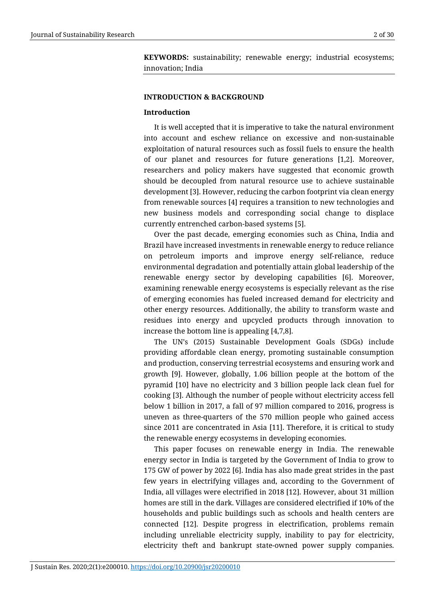**KEYWORDS:** sustainability; renewable energy; industrial ecosystems; innovation; India

#### **INTRODUCTION & BACKGROUND**

#### **Introduction**

It is well accepted that it is imperative to take the natural environment into account and eschew reliance on excessive and non-sustainable exploitation of natural resources such as fossil fuels to ensure the health of our planet and resources for future generations [1,2]. Moreover, researchers and policy makers have suggested that economic growth should be decoupled from natural resource use to achieve sustainable development [3]. However, reducing the carbon footprint via clean energy from renewable sources [4] requires a transition to new technologies and new business models and corresponding social change to displace currently entrenched carbon-based systems [5].

Over the past decade, emerging economies such as China, India and Brazil have increased investments in renewable energy to reduce reliance on petroleum imports and improve energy self-reliance, reduce environmental degradation and potentially attain global leadership of the renewable energy sector by developing capabilities [6]. Moreover, examining renewable energy ecosystems is especially relevant as the rise of emerging economies has fueled increased demand for electricity and other energy resources. Additionally, the ability to transform waste and residues into energy and upcycled products through innovation to increase the bottom line is appealing [4,7,8].

The UN's (2015) Sustainable Development Goals (SDGs) include providing affordable clean energy, promoting sustainable consumption and production, conserving terrestrial ecosystems and ensuring work and growth [9]. However, globally, 1.06 billion people at the bottom of the pyramid [10] have no electricity and 3 billion people lack clean fuel for cooking [3]. Although the number of people without electricity access fell below 1 billion in 2017, a fall of 97 million compared to 2016, progress is uneven as three-quarters of the 570 million people who gained access since 2011 are concentrated in Asia [11]. Therefore, it is critical to study the renewable energy ecosystems in developing economies.

This paper focuses on renewable energy in India. The renewable energy sector in India is targeted by the Government of India to grow to 175 GW of power by 2022 [6]. India has also made great strides in the past few years in electrifying villages and, according to the Government of India, all villages were electrified in 2018 [12]. However, about 31 million homes are still in the dark. Villages are considered electrified if 10% of the households and public buildings such as schools and health centers are connected [12]. Despite progress in electrification, problems remain including unreliable electricity supply, inability to pay for electricity, electricity theft and bankrupt state-owned power supply companies.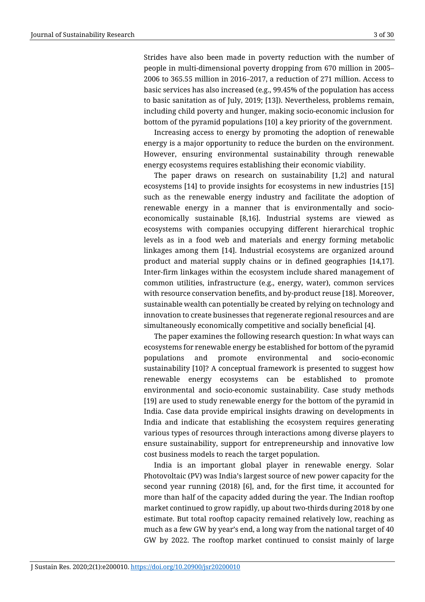Strides have also been made in poverty reduction with the number of people in multi-dimensional poverty dropping from 670 million in 2005– 2006 to 365.55 million in 2016–2017, a reduction of 271 million. Access to basic services has also increased (e.g., 99.45% of the population has access to basic sanitation as of July, 2019; [13]). Nevertheless, problems remain, including child poverty and hunger, making socio-economic inclusion for bottom of the pyramid populations [10] a key priority of the government.

Increasing access to energy by promoting the adoption of renewable energy is a major opportunity to reduce the burden on the environment. However, ensuring environmental sustainability through renewable energy ecosystems requires establishing their economic viability.

The paper draws on research on sustainability [1,2] and natural ecosystems [14] to provide insights for ecosystems in new industries [15] such as the renewable energy industry and facilitate the adoption of renewable energy in a manner that is environmentally and socioeconomically sustainable [8,16]. Industrial systems are viewed as ecosystems with companies occupying different hierarchical trophic levels as in a food web and materials and energy forming metabolic linkages among them [14]. Industrial ecosystems are organized around product and material supply chains or in defined geographies [14,17]. Inter-firm linkages within the ecosystem include shared management of common utilities, infrastructure (e.g., energy, water), common services with resource conservation benefits, and by-product reuse [18]. Moreover, sustainable wealth can potentially be created by relying on technology and innovation to create businesses that regenerate regional resources and are simultaneously economically competitive and socially beneficial [4].

The paper examines the following research question: In what ways can ecosystems for renewable energy be established for bottom of the pyramid populations and promote environmental and socio-economic sustainability [10]? A conceptual framework is presented to suggest how renewable energy ecosystems can be established to promote environmental and socio-economic sustainability. Case study methods [19] are used to study renewable energy for the bottom of the pyramid in India. Case data provide empirical insights drawing on developments in India and indicate that establishing the ecosystem requires generating various types of resources through interactions among diverse players to ensure sustainability, support for entrepreneurship and innovative low cost business models to reach the target population.

India is an important global player in renewable energy. Solar Photovoltaic (PV) was India's largest source of new power capacity for the second year running (2018) [6], and, for the first time, it accounted for more than half of the capacity added during the year. The Indian rooftop market continued to grow rapidly, up about two-thirds during 2018 by one estimate. But total rooftop capacity remained relatively low, reaching as much as a few GW by year's end, a long way from the national target of 40 GW by 2022. The rooftop market continued to consist mainly of large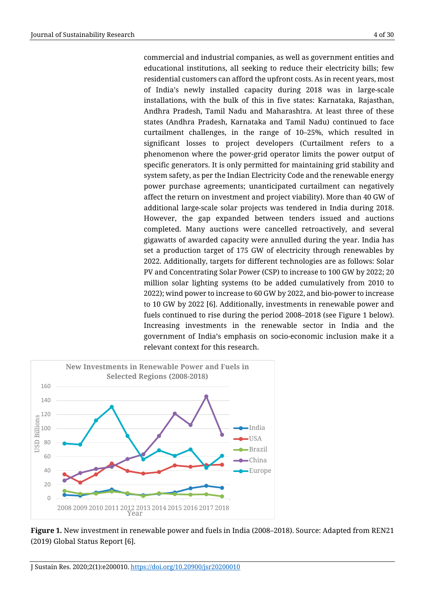commercial and industrial companies, as well as government entities and educational institutions, all seeking to reduce their electricity bills; few residential customers can afford the upfront costs. As in recent years, most of India's newly installed capacity during 2018 was in large-scale installations, with the bulk of this in five states: Karnataka, Rajasthan, Andhra Pradesh, Tamil Nadu and Maharashtra. At least three of these states (Andhra Pradesh, Karnataka and Tamil Nadu) continued to face curtailment challenges, in the range of 10–25%, which resulted in significant losses to project developers (Curtailment refers to a phenomenon where the power-grid operator limits the power output of specific generators. It is only permitted for maintaining grid stability and system safety, as per the Indian Electricity Code and the renewable energy power purchase agreements; unanticipated curtailment can negatively affect the return on investment and project viability). More than 40 GW of additional large-scale solar projects was tendered in India during 2018. However, the gap expanded between tenders issued and auctions completed. Many auctions were cancelled retroactively, and several gigawatts of awarded capacity were annulled during the year. India has set a production target of 175 GW of electricity through renewables by 2022. Additionally, targets for different technologies are as follows: Solar PV and Concentrating Solar Power (CSP) to increase to 100 GW by 2022; 20 million solar lighting systems (to be added cumulatively from 2010 to 2022); wind power to increase to 60 GW by 2022, and bio-power to increase to 10 GW by 2022 [6]. Additionally, investments in renewable power and fuels continued to rise during the period 2008–2018 (see Figure 1 below). Increasing investments in the renewable sector in India and the government of India's emphasis on socio-economic inclusion make it a relevant context for this research.



**Figure 1.** New investment in renewable power and fuels in India (2008–2018). Source: Adapted from REN21 (2019) Global Status Report [6].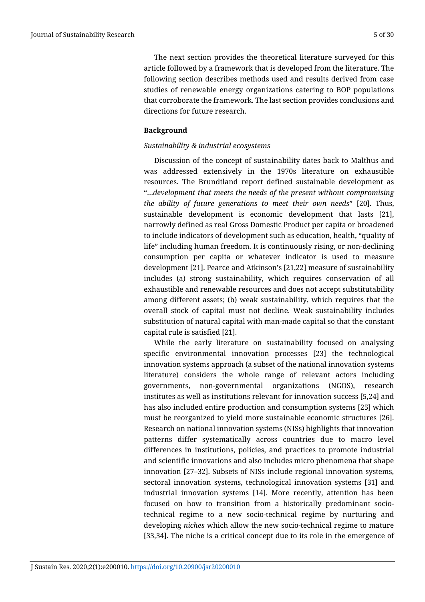The next section provides the theoretical literature surveyed for this article followed by a framework that is developed from the literature. The following section describes methods used and results derived from case studies of renewable energy organizations catering to BOP populations that corroborate the framework. The last section provides conclusions and directions for future research.

# **Background**

# *Sustainability & industrial ecosystems*

Discussion of the concept of sustainability dates back to Malthus and was addressed extensively in the 1970s literature on exhaustible resources. The Brundtland report defined sustainable development as "…*development that meets the needs of the present without compromising the ability of future generations to meet their own needs*" [20]. Thus, sustainable development is economic development that lasts [21], narrowly defined as real Gross Domestic Product per capita or broadened to include indicators of development such as education, health, "quality of life" including human freedom. It is continuously rising, or non-declining consumption per capita or whatever indicator is used to measure development [21]. Pearce and Atkinson's [21,22] measure of sustainability includes (a) strong sustainability, which requires conservation of all exhaustible and renewable resources and does not accept substitutability among different assets; (b) weak sustainability, which requires that the overall stock of capital must not decline. Weak sustainability includes substitution of natural capital with man-made capital so that the constant capital rule is satisfied [21].

While the early literature on sustainability focused on analysing specific environmental innovation processes [23] the technological innovation systems approach (a subset of the national innovation systems literature) considers the whole range of relevant actors including governments, non-governmental organizations (NGOS), research institutes as well as institutions relevant for innovation success [5,24] and has also included entire production and consumption systems [25] which must be reorganized to yield more sustainable economic structures [26]. Research on national innovation systems (NISs) highlights that innovation patterns differ systematically across countries due to macro level differences in institutions, policies, and practices to promote industrial and scientific innovations and also includes micro phenomena that shape innovation [27–32]. Subsets of NISs include regional innovation systems, sectoral innovation systems, technological innovation systems [31] and industrial innovation systems [14]. More recently, attention has been focused on how to transition from a historically predominant sociotechnical regime to a new socio-technical regime by nurturing and developing *niches* which allow the new socio-technical regime to mature [33,34]. The niche is a critical concept due to its role in the emergence of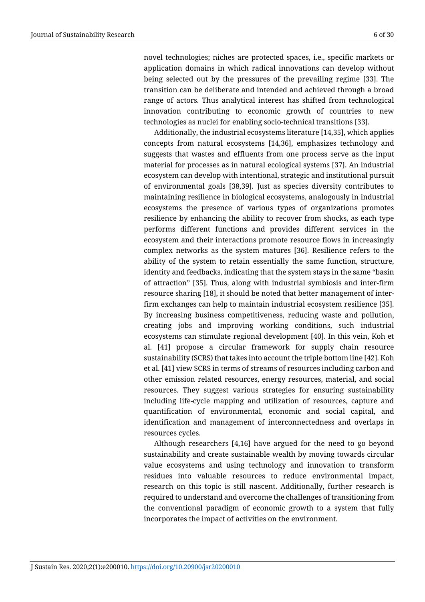novel technologies; niches are protected spaces, i.e., specific markets or application domains in which radical innovations can develop without being selected out by the pressures of the prevailing regime [33]. The transition can be deliberate and intended and achieved through a broad range of actors. Thus analytical interest has shifted from technological innovation contributing to economic growth of countries to new technologies as nuclei for enabling socio-technical transitions [33].

Additionally, the industrial ecosystems literature [14,35], which applies concepts from natural ecosystems [14,36], emphasizes technology and suggests that wastes and effluents from one process serve as the input material for processes as in natural ecological systems [37]. An industrial ecosystem can develop with intentional, strategic and institutional pursuit of environmental goals [38,39]. Just as species diversity contributes to maintaining resilience in biological ecosystems, analogously in industrial ecosystems the presence of various types of organizations promotes resilience by enhancing the ability to recover from shocks, as each type performs different functions and provides different services in the ecosystem and their interactions promote resource flows in increasingly complex networks as the system matures [36]. Resilience refers to the ability of the system to retain essentially the same function, structure, identity and feedbacks, indicating that the system stays in the same "basin of attraction" [35]. Thus, along with industrial symbiosis and inter-firm resource sharing [18], it should be noted that better management of interfirm exchanges can help to maintain industrial ecosystem resilience [35]. By increasing business competitiveness, reducing waste and pollution, creating jobs and improving working conditions, such industrial ecosystems can stimulate regional development [40]. In this vein, Koh et al. [41] propose a circular framework for supply chain resource sustainability (SCRS) that takes into account the triple bottom line [42]. Koh et al. [41] view SCRS in terms of streams of resources including carbon and other emission related resources, energy resources, material, and social resources. They suggest various strategies for ensuring sustainability including life-cycle mapping and utilization of resources, capture and quantification of environmental, economic and social capital, and identification and management of interconnectedness and overlaps in resources cycles.

Although researchers [4,16] have argued for the need to go beyond sustainability and create sustainable wealth by moving towards circular value ecosystems and using technology and innovation to transform residues into valuable resources to reduce environmental impact, research on this topic is still nascent. Additionally, further research is required to understand and overcome the challenges of transitioning from the conventional paradigm of economic growth to a system that fully incorporates the impact of activities on the environment.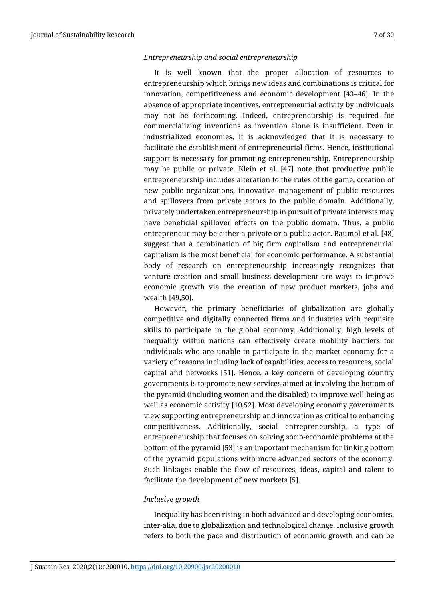# *Entrepreneurship and social entrepreneurship*

It is well known that the proper allocation of resources to entrepreneurship which brings new ideas and combinations is critical for innovation, competitiveness and economic development [43–46]. In the absence of appropriate incentives, entrepreneurial activity by individuals may not be forthcoming. Indeed, entrepreneurship is required for commercializing inventions as invention alone is insufficient. Even in industrialized economies, it is acknowledged that it is necessary to facilitate the establishment of entrepreneurial firms. Hence, institutional support is necessary for promoting entrepreneurship. Entrepreneurship may be public or private. Klein et al. [47] note that productive public entrepreneurship includes alteration to the rules of the game, creation of new public organizations, innovative management of public resources and spillovers from private actors to the public domain. Additionally, privately undertaken entrepreneurship in pursuit of private interests may have beneficial spillover effects on the public domain. Thus, a public entrepreneur may be either a private or a public actor. Baumol et al. [48] suggest that a combination of big firm capitalism and entrepreneurial capitalism is the most beneficial for economic performance. A substantial body of research on entrepreneurship increasingly recognizes that venture creation and small business development are ways to improve economic growth via the creation of new product markets, jobs and wealth [49,50].

However, the primary beneficiaries of globalization are globally competitive and digitally connected firms and industries with requisite skills to participate in the global economy. Additionally, high levels of inequality within nations can effectively create mobility barriers for individuals who are unable to participate in the market economy for a variety of reasons including lack of capabilities, access to resources, social capital and networks [51]. Hence, a key concern of developing country governments is to promote new services aimed at involving the bottom of the pyramid (including women and the disabled) to improve well-being as well as economic activity [10,52]. Most developing economy governments view supporting entrepreneurship and innovation as critical to enhancing competitiveness. Additionally, social entrepreneurship, a type of entrepreneurship that focuses on solving socio-economic problems at the bottom of the pyramid [53] is an important mechanism for linking bottom of the pyramid populations with more advanced sectors of the economy. Such linkages enable the flow of resources, ideas, capital and talent to facilitate the development of new markets [5].

# *Inclusive growth*

Inequality has been rising in both advanced and developing economies, inter-alia, due to globalization and technological change. Inclusive growth refers to both the pace and distribution of economic growth and can be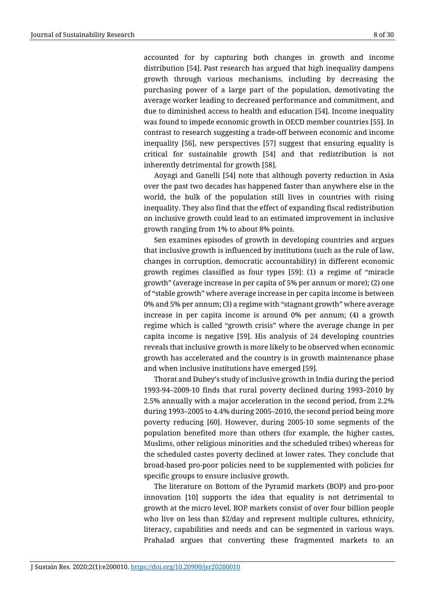accounted for by capturing both changes in growth and income distribution [54]. Past research has argued that high inequality dampens growth through various mechanisms, including by decreasing the purchasing power of a large part of the population, demotivating the average worker leading to decreased performance and commitment, and due to diminished access to health and education [54]. Income inequality was found to impede economic growth in OECD member countries [55]. In contrast to research suggesting a trade-off between economic and income inequality [56], new perspectives [57] suggest that ensuring equality is critical for sustainable growth [54] and that redistribution is not inherently detrimental for growth [58].

Aoyagi and Ganelli [54] note that although poverty reduction in Asia over the past two decades has happened faster than anywhere else in the world, the bulk of the population still lives in countries with rising inequality. They also find that the effect of expanding fiscal redistribution on inclusive growth could lead to an estimated improvement in inclusive growth ranging from 1% to about 8% points.

Sen examines episodes of growth in developing countries and argues that inclusive growth is influenced by institutions (such as the rule of law, changes in corruption, democratic accountability) in different economic growth regimes classified as four types [59]: (1) a regime of "miracle growth" (average increase in per capita of 5% per annum or more); (2) one of "stable growth" where average increase in per capita income is between 0% and 5% per annum; (3) a regime with "stagnant growth" where average increase in per capita income is around 0% per annum; (4) a growth regime which is called "growth crisis" where the average change in per capita income is negative [59]. His analysis of 24 developing countries reveals that inclusive growth is more likely to be observed when economic growth has accelerated and the country is in growth maintenance phase and when inclusive institutions have emerged [59].

Thorat and Dubey's study of inclusive growth in India during the period 1993-94–2009-10 finds that rural poverty declined during 1993–2010 by 2.5% annually with a major acceleration in the second period, from 2.2% during 1993–2005 to 4.4% during 2005–2010, the second period being more poverty reducing [60]. However, during 2005-10 some segments of the population benefited more than others (for example, the higher castes, Muslims, other religious minorities and the scheduled tribes) whereas for the scheduled castes poverty declined at lower rates. They conclude that broad-based pro-poor policies need to be supplemented with policies for specific groups to ensure inclusive growth.

The literature on Bottom of the Pyramid markets (BOP) and pro-poor innovation [10] supports the idea that equality is not detrimental to growth at the micro level. BOP markets consist of over four billion people who live on less than \$2/day and represent multiple cultures, ethnicity, literacy, capabilities and needs and can be segmented in various ways. Prahalad argues that converting these fragmented markets to an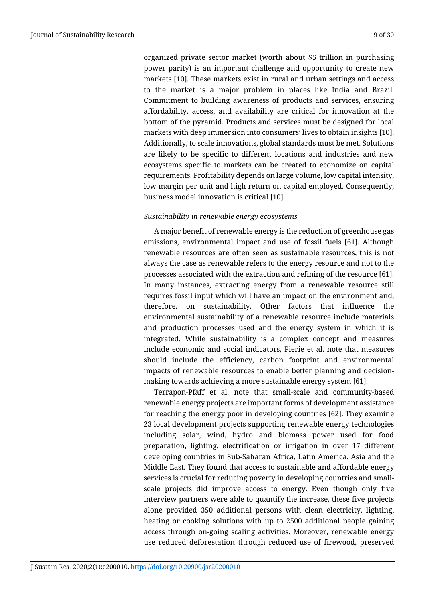organized private sector market (worth about \$5 trillion in purchasing power parity) is an important challenge and opportunity to create new markets [10]. These markets exist in rural and urban settings and access to the market is a major problem in places like India and Brazil. Commitment to building awareness of products and services, ensuring affordability, access, and availability are critical for innovation at the bottom of the pyramid. Products and services must be designed for local markets with deep immersion into consumers' lives to obtain insights [10]. Additionally, to scale innovations, global standards must be met. Solutions are likely to be specific to different locations and industries and new ecosystems specific to markets can be created to economize on capital requirements. Profitability depends on large volume, low capital intensity, low margin per unit and high return on capital employed. Consequently, business model innovation is critical [10].

#### *Sustainability in renewable energy ecosystems*

A major benefit of renewable energy is the reduction of greenhouse gas emissions, environmental impact and use of fossil fuels [61]. Although renewable resources are often seen as sustainable resources, this is not always the case as renewable refers to the energy resource and not to the processes associated with the extraction and refining of the resource [61]. In many instances, extracting energy from a renewable resource still requires fossil input which will have an impact on the environment and, therefore, on sustainability. Other factors that influence the environmental sustainability of a renewable resource include materials and production processes used and the energy system in which it is integrated. While sustainability is a complex concept and measures include economic and social indicators, Pierie et al. note that measures should include the efficiency, carbon footprint and environmental impacts of renewable resources to enable better planning and decisionmaking towards achieving a more sustainable energy system [61].

Terrapon-Pfaff et al. note that small-scale and community-based renewable energy projects are important forms of development assistance for reaching the energy poor in developing countries [62]. They examine 23 local development projects supporting renewable energy technologies including solar, wind, hydro and biomass power used for food preparation, lighting, electrification or irrigation in over 17 different developing countries in Sub-Saharan Africa, Latin America, Asia and the Middle East. They found that access to sustainable and affordable energy services is crucial for reducing poverty in developing countries and smallscale projects did improve access to energy. Even though only five interview partners were able to quantify the increase, these five projects alone provided 350 additional persons with clean electricity, lighting, heating or cooking solutions with up to 2500 additional people gaining access through on-going scaling activities. Moreover, renewable energy use reduced deforestation through reduced use of firewood, preserved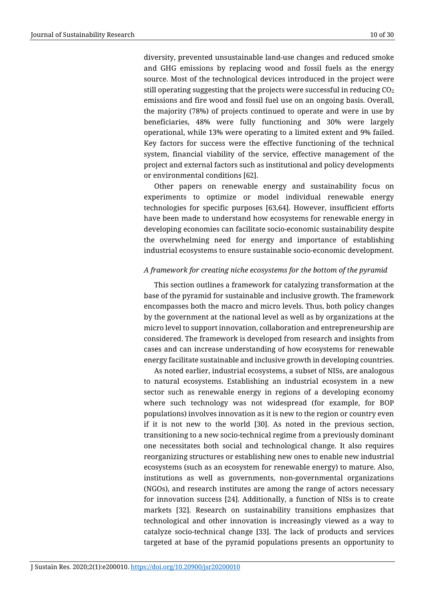diversity, prevented unsustainable land-use changes and reduced smoke and GHG emissions by replacing wood and fossil fuels as the energy source. Most of the technological devices introduced in the project were still operating suggesting that the projects were successful in reducing  $CO<sub>2</sub>$ emissions and fire wood and fossil fuel use on an ongoing basis. Overall, the majority (78%) of projects continued to operate and were in use by beneficiaries, 48% were fully functioning and 30% were largely operational, while 13% were operating to a limited extent and 9% failed. Key factors for success were the effective functioning of the technical system, financial viability of the service, effective management of the project and external factors such as institutional and policy developments or environmental conditions [62].

Other papers on renewable energy and sustainability focus on experiments to optimize or model individual renewable energy technologies for specific purposes [63,64]. However, insufficient efforts have been made to understand how ecosystems for renewable energy in developing economies can facilitate socio-economic sustainability despite the overwhelming need for energy and importance of establishing industrial ecosystems to ensure sustainable socio-economic development.

## *A framework for creating niche ecosystems for the bottom of the pyramid*

This section outlines a framework for catalyzing transformation at the base of the pyramid for sustainable and inclusive growth. The framework encompasses both the macro and micro levels. Thus, both policy changes by the government at the national level as well as by organizations at the micro level to support innovation, collaboration and entrepreneurship are considered. The framework is developed from research and insights from cases and can increase understanding of how ecosystems for renewable energy facilitate sustainable and inclusive growth in developing countries.

As noted earlier, industrial ecosystems, a subset of NISs, are analogous to natural ecosystems. Establishing an industrial ecosystem in a new sector such as renewable energy in regions of a developing economy where such technology was not widespread (for example, for BOP populations) involves innovation as it is new to the region or country even if it is not new to the world [30]. As noted in the previous section, transitioning to a new socio-technical regime from a previously dominant one necessitates both social and technological change. It also requires reorganizing structures or establishing new ones to enable new industrial ecosystems (such as an ecosystem for renewable energy) to mature. Also, institutions as well as governments, non-governmental organizations (NGOs), and research institutes are among the range of actors necessary for innovation success [24]. Additionally, a function of NISs is to create markets [32]. Research on sustainability transitions emphasizes that technological and other innovation is increasingly viewed as a way to catalyze socio-technical change [33]. The lack of products and services targeted at base of the pyramid populations presents an opportunity to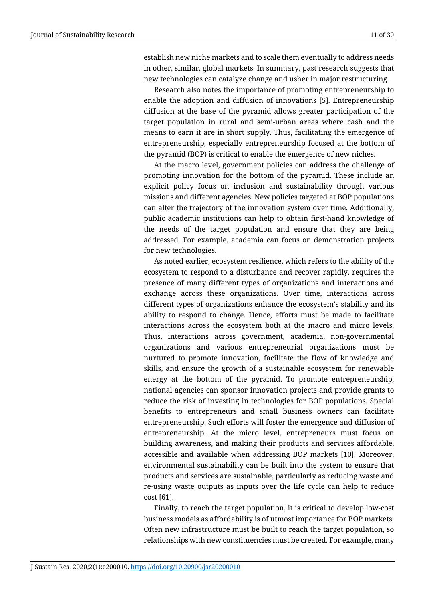establish new niche markets and to scale them eventually to address needs in other, similar, global markets. In summary, past research suggests that new technologies can catalyze change and usher in major restructuring.

Research also notes the importance of promoting entrepreneurship to enable the adoption and diffusion of innovations [5]. Entrepreneurship diffusion at the base of the pyramid allows greater participation of the target population in rural and semi-urban areas where cash and the means to earn it are in short supply. Thus, facilitating the emergence of entrepreneurship, especially entrepreneurship focused at the bottom of the pyramid (BOP) is critical to enable the emergence of new niches.

At the macro level, government policies can address the challenge of promoting innovation for the bottom of the pyramid. These include an explicit policy focus on inclusion and sustainability through various missions and different agencies. New policies targeted at BOP populations can alter the trajectory of the innovation system over time. Additionally, public academic institutions can help to obtain first-hand knowledge of the needs of the target population and ensure that they are being addressed. For example, academia can focus on demonstration projects for new technologies.

As noted earlier, ecosystem resilience, which refers to the ability of the ecosystem to respond to a disturbance and recover rapidly, requires the presence of many different types of organizations and interactions and exchange across these organizations. Over time, interactions across different types of organizations enhance the ecosystem's stability and its ability to respond to change. Hence, efforts must be made to facilitate interactions across the ecosystem both at the macro and micro levels. Thus, interactions across government, academia, non-governmental organizations and various entrepreneurial organizations must be nurtured to promote innovation, facilitate the flow of knowledge and skills, and ensure the growth of a sustainable ecosystem for renewable energy at the bottom of the pyramid. To promote entrepreneurship, national agencies can sponsor innovation projects and provide grants to reduce the risk of investing in technologies for BOP populations. Special benefits to entrepreneurs and small business owners can facilitate entrepreneurship. Such efforts will foster the emergence and diffusion of entrepreneurship. At the micro level, entrepreneurs must focus on building awareness, and making their products and services affordable, accessible and available when addressing BOP markets [10]. Moreover, environmental sustainability can be built into the system to ensure that products and services are sustainable, particularly as reducing waste and re-using waste outputs as inputs over the life cycle can help to reduce cost [61].

Finally, to reach the target population, it is critical to develop low-cost business models as affordability is of utmost importance for BOP markets. Often new infrastructure must be built to reach the target population, so relationships with new constituencies must be created. For example, many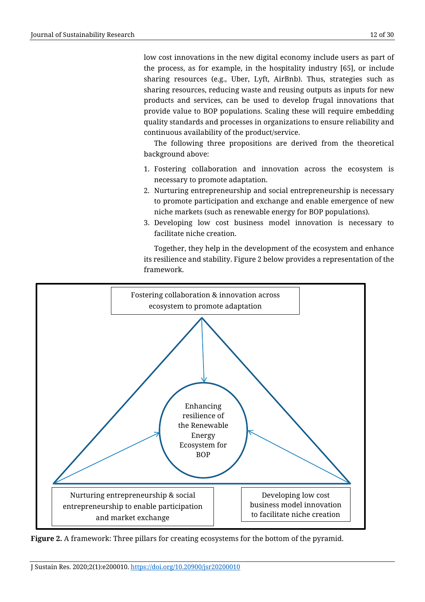low cost innovations in the new digital economy include users as part of the process, as for example, in the hospitality industry [65], or include sharing resources (e.g., Uber, Lyft, AirBnb). Thus, strategies such as sharing resources, reducing waste and reusing outputs as inputs for new products and services, can be used to develop frugal innovations that provide value to BOP populations. Scaling these will require embedding quality standards and processes in organizations to ensure reliability and continuous availability of the product/service.

The following three propositions are derived from the theoretical background above:

- 1. Fostering collaboration and innovation across the ecosystem is necessary to promote adaptation.
- 2. Nurturing entrepreneurship and social entrepreneurship is necessary to promote participation and exchange and enable emergence of new niche markets (such as renewable energy for BOP populations).
- 3. Developing low cost business model innovation is necessary to facilitate niche creation.

Together, they help in the development of the ecosystem and enhance its resilience and stability. Figure 2 below provides a representation of the framework.



**Figure 2.** A framework: Three pillars for creating ecosystems for the bottom of the pyramid.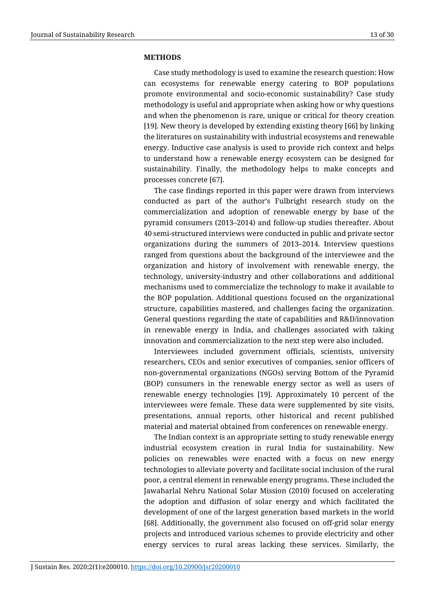#### **METHODS**

Case study methodology is used to examine the research question: How can ecosystems for renewable energy catering to BOP populations promote environmental and socio-economic sustainability? Case study methodology is useful and appropriate when asking how or why questions and when the phenomenon is rare, unique or critical for theory creation [19]. New theory is developed by extending existing theory [66] by linking the literatures on sustainability with industrial ecosystems and renewable energy. Inductive case analysis is used to provide rich context and helps to understand how a renewable energy ecosystem can be designed for sustainability. Finally, the methodology helps to make concepts and processes concrete [67].

The case findings reported in this paper were drawn from interviews conducted as part of the author's Fulbright research study on the commercialization and adoption of renewable energy by base of the pyramid consumers (2013–2014) and follow-up studies thereafter. About 40 semi-structured interviews were conducted in public and private sector organizations during the summers of 2013–2014. Interview questions ranged from questions about the background of the interviewee and the organization and history of involvement with renewable energy, the technology, university-industry and other collaborations and additional mechanisms used to commercialize the technology to make it available to the BOP population. Additional questions focused on the organizational structure, capabilities mastered, and challenges facing the organization. General questions regarding the state of capabilities and R&D/innovation in renewable energy in India, and challenges associated with taking innovation and commercialization to the next step were also included.

Interviewees included government officials, scientists, university researchers, CEOs and senior executives of companies, senior officers of non-governmental organizations (NGOs) serving Bottom of the Pyramid (BOP) consumers in the renewable energy sector as well as users of renewable energy technologies [19]. Approximately 10 percent of the interviewees were female. These data were supplemented by site visits, presentations, annual reports, other historical and recent published material and material obtained from conferences on renewable energy.

The Indian context is an appropriate setting to study renewable energy industrial ecosystem creation in rural India for sustainability. New policies on renewables were enacted with a focus on new energy technologies to alleviate poverty and facilitate social inclusion of the rural poor, a central element in renewable energy programs. These included the Jawaharlal Nehru National Solar Mission (2010) focused on accelerating the adoption and diffusion of solar energy and which facilitated the development of one of the largest generation based markets in the world [68]. Additionally, the government also focused on off-grid solar energy projects and introduced various schemes to provide electricity and other energy services to rural areas lacking these services. Similarly, the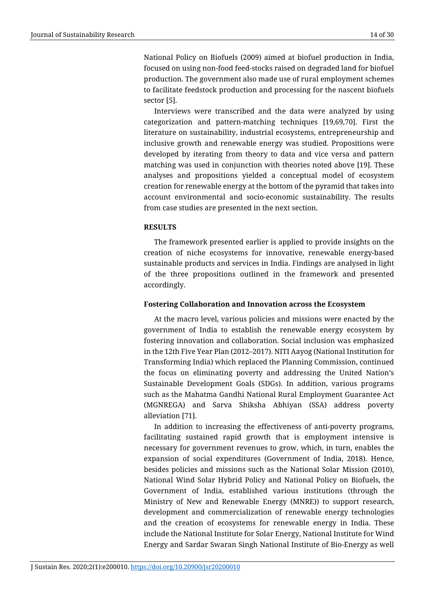National Policy on Biofuels (2009) aimed at biofuel production in India, focused on using non-food feed-stocks raised on degraded land for biofuel production. The government also made use of rural employment schemes to facilitate feedstock production and processing for the nascent biofuels sector [5].

Interviews were transcribed and the data were analyzed by using categorization and pattern-matching techniques [19,69,70]. First the literature on sustainability, industrial ecosystems, entrepreneurship and inclusive growth and renewable energy was studied. Propositions were developed by iterating from theory to data and vice versa and pattern matching was used in conjunction with theories noted above [19]. These analyses and propositions yielded a conceptual model of ecosystem creation for renewable energy at the bottom of the pyramid that takes into account environmental and socio-economic sustainability. The results from case studies are presented in the next section.

## **RESULTS**

The framework presented earlier is applied to provide insights on the creation of niche ecosystems for innovative, renewable energy-based sustainable products and services in India. Findings are analysed in light of the three propositions outlined in the framework and presented accordingly.

# **Fostering Collaboration and Innovation across the Ecosystem**

At the macro level, various policies and missions were enacted by the government of India to establish the renewable energy ecosystem by fostering innovation and collaboration. Social inclusion was emphasized in the 12th Five Year Plan (2012–2017). NITI Aayog (National Institution for Transforming India) which replaced the Planning Commission, continued the focus on eliminating poverty and addressing the United Nation's Sustainable Development Goals (SDGs). In addition, various programs such as the Mahatma Gandhi National Rural Employment Guarantee Act (MGNREGA) and Sarva Shiksha Abhiyan (SSA) address poverty alleviation [71].

In addition to increasing the effectiveness of anti-poverty programs, facilitating sustained rapid growth that is employment intensive is necessary for government revenues to grow, which, in turn, enables the expansion of social expenditures (Government of India, 2018). Hence, besides policies and missions such as the National Solar Mission (2010), National Wind Solar Hybrid Policy and National Policy on Biofuels, the Government of India, established various institutions (through the Ministry of New and Renewable Energy (MNRE)) to support research, development and commercialization of renewable energy technologies and the creation of ecosystems for renewable energy in India. These include the National Institute for Solar Energy, National Institute for Wind Energy and Sardar Swaran Singh National Institute of Bio-Energy as well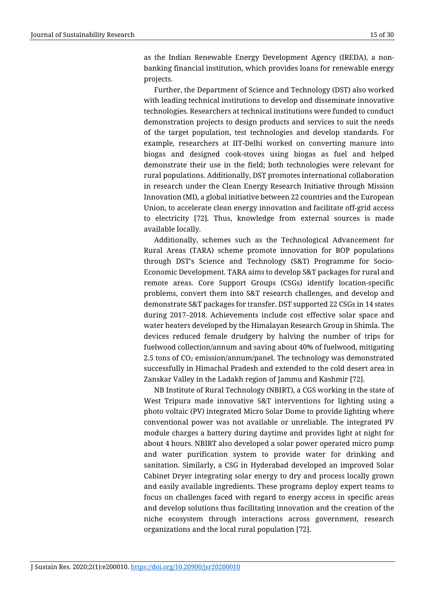as the Indian Renewable Energy Development Agency (IREDA), a nonbanking financial institution, which provides loans for renewable energy projects.

Further, the Department of Science and Technology (DST) also worked with leading technical institutions to develop and disseminate innovative technologies. Researchers at technical institutions were funded to conduct demonstration projects to design products and services to suit the needs of the target population, test technologies and develop standards. For example, researchers at IIT-Delhi worked on converting manure into biogas and designed cook-stoves using biogas as fuel and helped demonstrate their use in the field; both technologies were relevant for rural populations. Additionally, DST promotes international collaboration in research under the Clean Energy Research Initiative through Mission Innovation (MI), a global initiative between 22 countries and the European Union, to accelerate clean energy innovation and facilitate off-grid access to electricity [72]. Thus, knowledge from external sources is made available locally.

Additionally, schemes such as the Technological Advancement for Rural Areas (TARA) scheme promote innovation for BOP populations through DST's Science and Technology (S&T) Programme for Socio-Economic Development. TARA aims to develop S&T packages for rural and remote areas. Core Support Groups (CSGs) identify location-specific problems, convert them into S&T research challenges, and develop and demonstrate S&T packages for transfer. DST supported 22 CSGs in 14 states during 2017–2018. Achievements include cost effective solar space and water heaters developed by the Himalayan Research Group in Shimla. The devices reduced female drudgery by halving the number of trips for fuelwood collection/annum and saving about 40% of fuelwood, mitigating 2.5 tons of  $CO<sub>2</sub>$  emission/annum/panel. The technology was demonstrated successfully in Himachal Pradesh and extended to the cold desert area in Zanskar Valley in the Ladakh region of Jammu and Kashmir [72].

NB Institute of Rural Technology (NBIRT), a CGS working in the state of West Tripura made innovative S&T interventions for lighting using a photo voltaic (PV) integrated Micro Solar Dome to provide lighting where conventional power was not available or unreliable. The integrated PV module charges a battery during daytime and provides light at night for about 4 hours. NBIRT also developed a solar power operated micro pump and water purification system to provide water for drinking and sanitation. Similarly, a CSG in Hyderabad developed an improved Solar Cabinet Dryer integrating solar energy to dry and process locally grown and easily available ingredients. These programs deploy expert teams to focus on challenges faced with regard to energy access in specific areas and develop solutions thus facilitating innovation and the creation of the niche ecosystem through interactions across government, research organizations and the local rural population [72].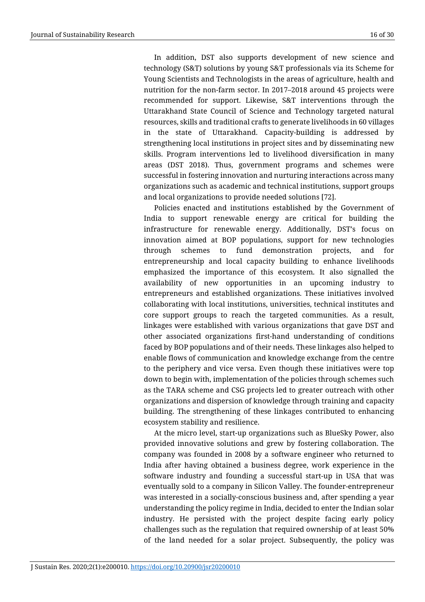In addition, DST also supports development of new science and technology (S&T) solutions by young S&T professionals via its Scheme for Young Scientists and Technologists in the areas of agriculture, health and nutrition for the non-farm sector. In 2017–2018 around 45 projects were recommended for support. Likewise, S&T interventions through the Uttarakhand State Council of Science and Technology targeted natural resources, skills and traditional crafts to generate livelihoods in 60 villages in the state of Uttarakhand. Capacity-building is addressed by strengthening local institutions in project sites and by disseminating new skills. Program interventions led to livelihood diversification in many areas (DST 2018). Thus, government programs and schemes were successful in fostering innovation and nurturing interactions across many organizations such as academic and technical institutions, support groups and local organizations to provide needed solutions [72].

Policies enacted and institutions established by the Government of India to support renewable energy are critical for building the infrastructure for renewable energy. Additionally, DST's focus on innovation aimed at BOP populations, support for new technologies through schemes to fund demonstration projects, and for entrepreneurship and local capacity building to enhance livelihoods emphasized the importance of this ecosystem. It also signalled the availability of new opportunities in an upcoming industry to entrepreneurs and established organizations. These initiatives involved collaborating with local institutions, universities, technical institutes and core support groups to reach the targeted communities. As a result, linkages were established with various organizations that gave DST and other associated organizations first-hand understanding of conditions faced by BOP populations and of their needs. These linkages also helped to enable flows of communication and knowledge exchange from the centre to the periphery and vice versa. Even though these initiatives were top down to begin with, implementation of the policies through schemes such as the TARA scheme and CSG projects led to greater outreach with other organizations and dispersion of knowledge through training and capacity building. The strengthening of these linkages contributed to enhancing ecosystem stability and resilience.

At the micro level, start-up organizations such as BlueSky Power, also provided innovative solutions and grew by fostering collaboration. The company was founded in 2008 by a software engineer who returned to India after having obtained a business degree, work experience in the software industry and founding a successful start-up in USA that was eventually sold to a company in Silicon Valley. The founder-entrepreneur was interested in a socially-conscious business and, after spending a year understanding the policy regime in India, decided to enter the Indian solar industry. He persisted with the project despite facing early policy challenges such as the regulation that required ownership of at least 50% of the land needed for a solar project. Subsequently, the policy was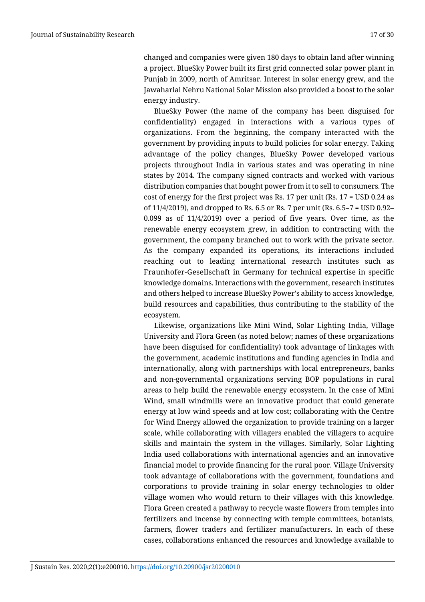changed and companies were given 180 days to obtain land after winning a project. BlueSky Power built its first grid connected solar power plant in Punjab in 2009, north of Amritsar. Interest in solar energy grew, and the Jawaharlal Nehru National Solar Mission also provided a boost to the solar energy industry.

BlueSky Power (the name of the company has been disguised for confidentiality) engaged in interactions with a various types of organizations. From the beginning, the company interacted with the government by providing inputs to build policies for solar energy. Taking advantage of the policy changes, BlueSky Power developed various projects throughout India in various states and was operating in nine states by 2014. The company signed contracts and worked with various distribution companies that bought power from it to sell to consumers. The cost of energy for the first project was Rs. 17 per unit (Rs. 17 = USD 0.24 as of 11/4/2019), and dropped to Rs. 6.5 or Rs. 7 per unit (Rs. 6.5–7 = USD 0.92– 0.099 as of 11/4/2019) over a period of five years. Over time, as the renewable energy ecosystem grew, in addition to contracting with the government, the company branched out to work with the private sector. As the company expanded its operations, its interactions included reaching out to leading international research institutes such as [Fraunhofer-Gesellschaft](https://www.fraunhofer.de/en.html) in Germany for technical expertise in specific knowledge domains. Interactions with the government, research institutes and others helped to increase BlueSky Power's ability to access knowledge, build resources and capabilities, thus contributing to the stability of the ecosystem.

Likewise, organizations like Mini Wind, Solar Lighting India, Village University and Flora Green (as noted below; names of these organizations have been disguised for confidentiality) took advantage of linkages with the government, academic institutions and funding agencies in India and internationally, along with partnerships with local entrepreneurs, banks and non-governmental organizations serving BOP populations in rural areas to help build the renewable energy ecosystem. In the case of Mini Wind, small windmills were an innovative product that could generate energy at low wind speeds and at low cost; collaborating with the Centre for Wind Energy allowed the organization to provide training on a larger scale, while collaborating with villagers enabled the villagers to acquire skills and maintain the system in the villages. Similarly, Solar Lighting India used collaborations with international agencies and an innovative financial model to provide financing for the rural poor. Village University took advantage of collaborations with the government, foundations and corporations to provide training in solar energy technologies to older village women who would return to their villages with this knowledge. Flora Green created a pathway to recycle waste flowers from temples into fertilizers and incense by connecting with temple committees, botanists, farmers, flower traders and fertilizer manufacturers. In each of these cases, collaborations enhanced the resources and knowledge available to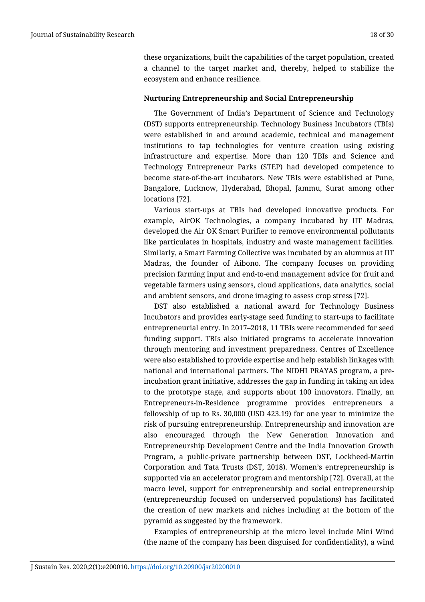these organizations, built the capabilities of the target population, created a channel to the target market and, thereby, helped to stabilize the ecosystem and enhance resilience.

## **Nurturing Entrepreneurship and Social Entrepreneurship**

The Government of India's Department of Science and Technology (DST) supports entrepreneurship. Technology Business Incubators (TBIs) were established in and around academic, technical and management institutions to tap technologies for venture creation using existing infrastructure and expertise. More than 120 TBIs and Science and Technology Entrepreneur Parks (STEP) had developed competence to become state-of-the-art incubators. New TBIs were established at Pune, Bangalore, Lucknow, Hyderabad, Bhopal, Jammu, Surat among other locations [72].

Various start-ups at TBIs had developed innovative products. For example, AirOK Technologies, a company incubated by IIT Madras, developed the Air OK Smart Purifier to remove environmental pollutants like particulates in hospitals, industry and waste management facilities. Similarly, a Smart Farming Collective was incubated by an alumnus at IIT Madras, the founder of Aibono. The company focuses on providing precision farming input and end-to-end management advice for fruit and vegetable farmers using sensors, cloud applications, data analytics, social and ambient sensors, and drone imaging to assess crop stress [72].

DST also established a national award for Technology Business Incubators and provides early-stage seed funding to start-ups to facilitate entrepreneurial entry. In 2017–2018, 11 TBIs were recommended for seed funding support. TBIs also initiated programs to accelerate innovation through mentoring and investment preparedness. Centres of Excellence were also established to provide expertise and help establish linkages with national and international partners. The NIDHI PRAYAS program, a preincubation grant initiative, addresses the gap in funding in taking an idea to the prototype stage, and supports about 100 innovators. Finally, an Entrepreneurs-in-Residence programme provides entrepreneurs a fellowship of up to Rs. 30,000 (USD 423.19) for one year to minimize the risk of pursuing entrepreneurship. Entrepreneurship and innovation are also encouraged through the New Generation Innovation and Entrepreneurship Development Centre and the India Innovation Growth Program, a public-private partnership between DST, Lockheed-Martin Corporation and Tata Trusts (DST, 2018). Women's entrepreneurship is supported via an accelerator program and mentorship [72]. Overall, at the macro level, support for entrepreneurship and social entrepreneurship (entrepreneurship focused on underserved populations) has facilitated the creation of new markets and niches including at the bottom of the pyramid as suggested by the framework.

Examples of entrepreneurship at the micro level include Mini Wind (the name of the company has been disguised for confidentiality), a wind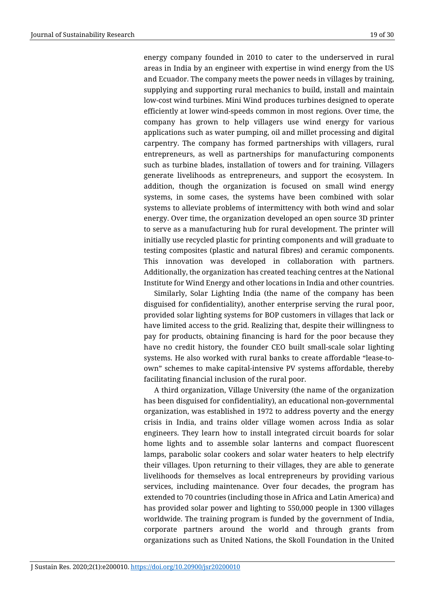energy company founded in 2010 to cater to the underserved in rural areas in India by an engineer with expertise in wind energy from the US and Ecuador. The company meets the power needs in villages by training, supplying and supporting rural mechanics to build, install and maintain low-cost wind turbines. Mini Wind produces turbines designed to operate efficiently at lower wind-speeds common in most regions. Over time, the company has grown to help villagers use wind energy for various applications such as water pumping, oil and millet processing and digital carpentry. The company has formed partnerships with villagers, rural entrepreneurs, as well as partnerships for manufacturing components such as turbine blades, installation of towers and for training. Villagers generate livelihoods as entrepreneurs, and support the ecosystem. In addition, though the organization is focused on small wind energy systems, in some cases, the systems have been combined with solar systems to alleviate problems of intermittency with both wind and solar energy. Over time, the organization developed an open source 3D printer to serve as a manufacturing hub for rural development. The printer will initially use recycled plastic for printing components and will graduate to testing composites (plastic and natural fibres) and ceramic components. This innovation was developed in collaboration with partners. Additionally, the organization has created teaching centres at the National Institute for Wind Energy and other locations in India and other countries.

Similarly, Solar Lighting India (the name of the company has been disguised for confidentiality), another enterprise serving the rural poor, provided solar lighting systems for BOP customers in villages that lack or have limited access to the grid. Realizing that, despite their willingness to pay for products, obtaining financing is hard for the poor because they have no credit history, the founder CEO built small-scale solar lighting systems. He also worked with rural banks to create affordable "lease-toown" schemes to make capital-intensive PV systems affordable, thereby facilitating financial inclusion of the rural poor.

A third organization, Village University (the name of the organization has been disguised for confidentiality), an educational non-governmental organization, was established in 1972 to address poverty and the energy crisis in India, and trains older village women across India as solar engineers. They learn how to install integrated circuit boards for solar home lights and to assemble solar lanterns and compact fluorescent lamps, parabolic solar cookers and solar water heaters to help electrify their villages. Upon returning to their villages, they are able to generate livelihoods for themselves as local entrepreneurs by providing various services, including maintenance. Over four decades, the program has extended to 70 countries (including those in Africa and Latin America) and has provided solar power and lighting to 550,000 people in 1300 villages worldwide. The training program is funded by the government of India, corporate partners around the world and through grants from organizations such as United Nations, the Skoll Foundation in the United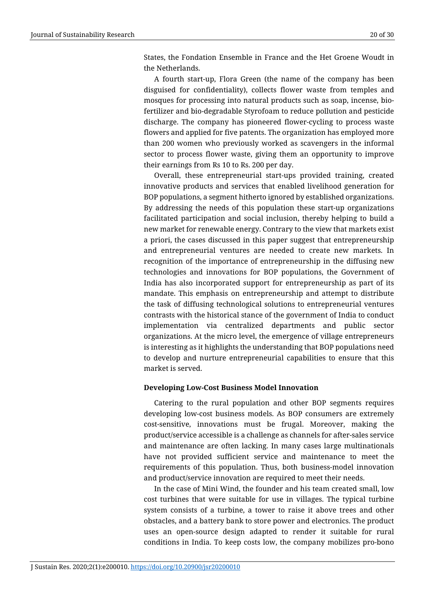States, the Fondation Ensemble in France and the Het Groene Woudt in the Netherlands.

A fourth start-up, Flora Green (the name of the company has been disguised for confidentiality), collects flower waste from temples and mosques for processing into natural products such as soap, incense, biofertilizer and bio-degradable Styrofoam to reduce pollution and pesticide discharge. The company has pioneered flower-cycling to process waste flowers and applied for five patents. The organization has employed more than 200 women who previously worked as scavengers in the informal sector to process flower waste, giving them an opportunity to improve their earnings from Rs 10 to Rs. 200 per day.

Overall, these entrepreneurial start-ups provided training, created innovative products and services that enabled livelihood generation for BOP populations, a segment hitherto ignored by established organizations. By addressing the needs of this population these start-up organizations facilitated participation and social inclusion, thereby helping to build a new market for renewable energy. Contrary to the view that markets exist a priori, the cases discussed in this paper suggest that entrepreneurship and entrepreneurial ventures are needed to create new markets. In recognition of the importance of entrepreneurship in the diffusing new technologies and innovations for BOP populations, the Government of India has also incorporated support for entrepreneurship as part of its mandate. This emphasis on entrepreneurship and attempt to distribute the task of diffusing technological solutions to entrepreneurial ventures contrasts with the historical stance of the government of India to conduct implementation via centralized departments and public sector organizations. At the micro level, the emergence of village entrepreneurs is interesting as it highlights the understanding that BOP populations need to develop and nurture entrepreneurial capabilities to ensure that this market is served.

#### **Developing Low-Cost Business Model Innovation**

Catering to the rural population and other BOP segments requires developing low-cost business models. As BOP consumers are extremely cost-sensitive, innovations must be frugal. Moreover, making the product/service accessible is a challenge as channels for after-sales service and maintenance are often lacking. In many cases large multinationals have not provided sufficient service and maintenance to meet the requirements of this population. Thus, both business-model innovation and product/service innovation are required to meet their needs.

In the case of Mini Wind, the founder and his team created small, low cost turbines that were suitable for use in villages. The typical turbine system consists of a turbine, a tower to raise it above trees and other obstacles, and a battery bank to store power and electronics. The product uses an open-source design adapted to render it suitable for rural conditions in India. To keep costs low, the company mobilizes pro-bono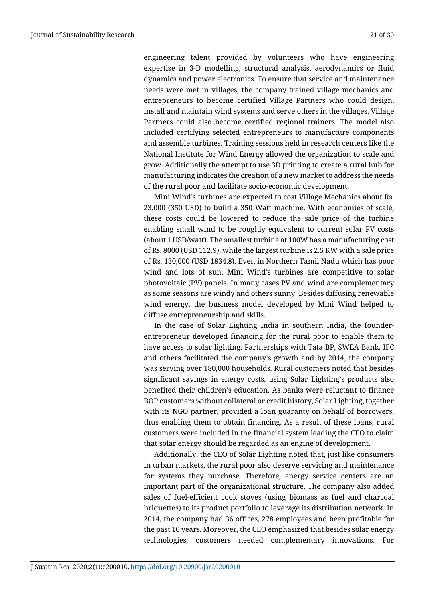engineering talent provided by volunteers who have engineering expertise in 3-D modelling, structural analysis, aerodynamics or fluid dynamics and power electronics. To ensure that service and maintenance needs were met in villages, the company trained village mechanics and entrepreneurs to become certified Village Partners who could design, install and maintain wind systems and serve others in the villages. Village Partners could also become certified regional trainers. The model also included certifying selected entrepreneurs to manufacture components and assemble turbines. Training sessions held in research centers like the National Institute for Wind Energy allowed the organization to scale and grow. Additionally the attempt to use 3D printing to create a rural hub for manufacturing indicates the creation of a new market to address the needs of the rural poor and facilitate socio-economic development.

Mini Wind's turbines are expected to cost Village Mechanics about Rs. 23,000 (350 USD) to build a 350 Watt machine. With economies of scale, these costs could be lowered to reduce the sale price of the turbine enabling small wind to be roughly equivalent to current solar PV costs (about 1 USD/watt). The smallest turbine at 100W has a manufacturing cost of Rs. 8000 (USD 112.9), while the largest turbine is 2.5 KW with a sale price of Rs. 130,000 (USD 1834.8). Even in Northern Tamil Nadu which has poor wind and lots of sun, Mini Wind's turbines are competitive to solar photovoltaic (PV) panels. In many cases PV and wind are complementary as some seasons are windy and others sunny. Besides diffusing renewable wind energy, the business model developed by Mini Wind helped to diffuse entrepreneurship and skills.

In the case of Solar Lighting India in southern India, the founderentrepreneur developed financing for the rural poor to enable them to have access to solar lighting. Partnerships with Tata BP, SWEA Bank, IFC and others facilitated the company's growth and by 2014, the company was serving over 180,000 households. Rural customers noted that besides significant savings in energy costs, using Solar Lighting's products also benefited their children's education. As banks were reluctant to finance BOP customers without collateral or credit history, Solar Lighting, together with its NGO partner, provided a loan guaranty on behalf of borrowers, thus enabling them to obtain financing. As a result of these loans, rural customers were included in the financial system leading the CEO to claim that solar energy should be regarded as an engine of development.

Additionally, the CEO of Solar Lighting noted that, just like consumers in urban markets, the rural poor also deserve servicing and maintenance for systems they purchase. Therefore, energy service centers are an important part of the organizational structure. The company also added sales of fuel-efficient cook stoves (using biomass as fuel and charcoal briquettes) to its product portfolio to leverage its distribution network. In 2014, the company had 36 offices, 278 employees and been profitable for the past 10 years. Moreover, the CEO emphasized that besides solar energy technologies, customers needed complementary innovations. For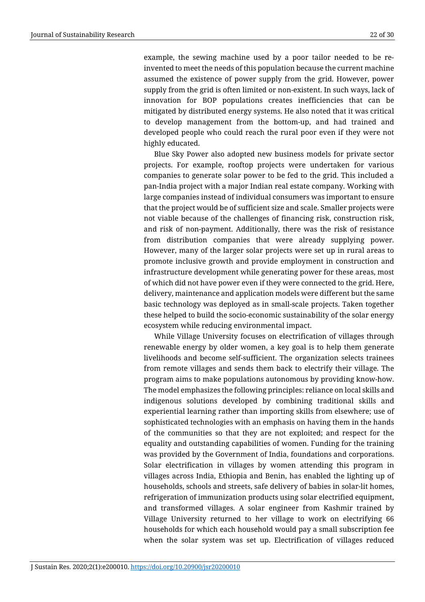example, the sewing machine used by a poor tailor needed to be reinvented to meet the needs of this population because the current machine assumed the existence of power supply from the grid. However, power supply from the grid is often limited or non-existent. In such ways, lack of innovation for BOP populations creates inefficiencies that can be mitigated by distributed energy systems. He also noted that it was critical to develop management from the bottom-up, and had trained and developed people who could reach the rural poor even if they were not highly educated.

Blue Sky Power also adopted new business models for private sector projects. For example, rooftop projects were undertaken for various companies to generate solar power to be fed to the grid. This included a pan-India project with a major Indian real estate company. Working with large companies instead of individual consumers was important to ensure that the project would be of sufficient size and scale. Smaller projects were not viable because of the challenges of financing risk, construction risk, and risk of non-payment. Additionally, there was the risk of resistance from distribution companies that were already supplying power. However, many of the larger solar projects were set up in rural areas to promote inclusive growth and provide employment in construction and infrastructure development while generating power for these areas, most of which did not have power even if they were connected to the grid. Here, delivery, maintenance and application models were different but the same basic technology was deployed as in small-scale projects. Taken together these helped to build the socio-economic sustainability of the solar energy ecosystem while reducing environmental impact.

While Village University focuses on electrification of villages through renewable energy by older women, a key goal is to help them generate livelihoods and become self-sufficient. The organization selects trainees from remote villages and sends them back to electrify their village. The program aims to make populations autonomous by providing know-how. The model emphasizes the following principles: reliance on local skills and indigenous solutions developed by combining traditional skills and experiential learning rather than importing skills from elsewhere; use of sophisticated technologies with an emphasis on having them in the hands of the communities so that they are not exploited; and respect for the equality and outstanding capabilities of women. Funding for the training was provided by the Government of India, foundations and corporations. Solar electrification in villages by women attending this program in villages across India, Ethiopia and Benin, has enabled the lighting up of households, schools and streets, safe delivery of babies in solar-lit homes, refrigeration of immunization products using solar electrified equipment, and transformed villages. A solar engineer from Kashmir trained by Village University returned to her village to work on electrifying 66 households for which each household would pay a small subscription fee when the solar system was set up. Electrification of villages reduced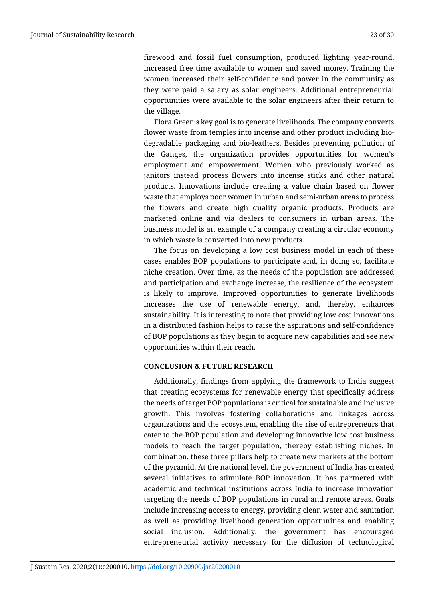firewood and fossil fuel consumption, produced lighting year-round, increased free time available to women and saved money. Training the women increased their self-confidence and power in the community as they were paid a salary as solar engineers. Additional entrepreneurial opportunities were available to the solar engineers after their return to the village.

Flora Green's key goal is to generate livelihoods. The company converts flower waste from temples into incense and other product including biodegradable packaging and bio-leathers. Besides preventing pollution of the Ganges, the organization provides opportunities for women's employment and empowerment. Women who previously worked as janitors instead process flowers into incense sticks and other natural products. Innovations include creating a value chain based on flower waste that employs poor women in urban and semi-urban areas to process the flowers and create high quality organic products. Products are marketed online and via dealers to consumers in urban areas. The business model is an example of a company creating a circular economy in which waste is converted into new products.

The focus on developing a low cost business model in each of these cases enables BOP populations to participate and, in doing so, facilitate niche creation. Over time, as the needs of the population are addressed and participation and exchange increase, the resilience of the ecosystem is likely to improve. Improved opportunities to generate livelihoods increases the use of renewable energy, and, thereby, enhances sustainability. It is interesting to note that providing low cost innovations in a distributed fashion helps to raise the aspirations and self-confidence of BOP populations as they begin to acquire new capabilities and see new opportunities within their reach.

#### **CONCLUSION & FUTURE RESEARCH**

Additionally, findings from applying the framework to India suggest that creating ecosystems for renewable energy that specifically address the needs of target BOP populations is critical for sustainable and inclusive growth. This involves fostering collaborations and linkages across organizations and the ecosystem, enabling the rise of entrepreneurs that cater to the BOP population and developing innovative low cost business models to reach the target population, thereby establishing niches. In combination, these three pillars help to create new markets at the bottom of the pyramid. At the national level, the government of India has created several initiatives to stimulate BOP innovation. It has partnered with academic and technical institutions across India to increase innovation targeting the needs of BOP populations in rural and remote areas. Goals include increasing access to energy, providing clean water and sanitation as well as providing livelihood generation opportunities and enabling social inclusion. Additionally, the government has encouraged entrepreneurial activity necessary for the diffusion of technological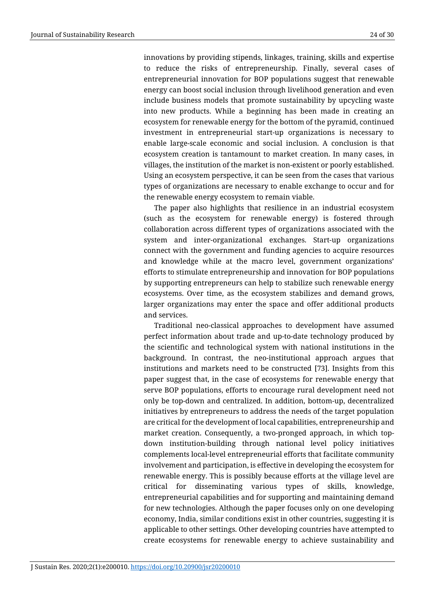innovations by providing stipends, linkages, training, skills and expertise to reduce the risks of entrepreneurship. Finally, several cases of entrepreneurial innovation for BOP populations suggest that renewable energy can boost social inclusion through livelihood generation and even include business models that promote sustainability by upcycling waste into new products. While a beginning has been made in creating an ecosystem for renewable energy for the bottom of the pyramid, continued investment in entrepreneurial start-up organizations is necessary to enable large-scale economic and social inclusion. A conclusion is that ecosystem creation is tantamount to market creation. In many cases, in villages, the institution of the market is non-existent or poorly established. Using an ecosystem perspective, it can be seen from the cases that various types of organizations are necessary to enable exchange to occur and for the renewable energy ecosystem to remain viable.

The paper also highlights that resilience in an industrial ecosystem (such as the ecosystem for renewable energy) is fostered through collaboration across different types of organizations associated with the system and inter-organizational exchanges. Start-up organizations connect with the government and funding agencies to acquire resources and knowledge while at the macro level, government organizations' efforts to stimulate entrepreneurship and innovation for BOP populations by supporting entrepreneurs can help to stabilize such renewable energy ecosystems. Over time, as the ecosystem stabilizes and demand grows, larger organizations may enter the space and offer additional products and services.

Traditional neo-classical approaches to development have assumed perfect information about trade and up-to-date technology produced by the scientific and technological system with national institutions in the background. In contrast, the neo-institutional approach argues that institutions and markets need to be constructed [73]. Insights from this paper suggest that, in the case of ecosystems for renewable energy that serve BOP populations, efforts to encourage rural development need not only be top-down and centralized. In addition, bottom-up, decentralized initiatives by entrepreneurs to address the needs of the target population are critical for the development of local capabilities, entrepreneurship and market creation. Consequently, a two-pronged approach, in which topdown institution-building through national level policy initiatives complements local-level entrepreneurial efforts that facilitate community involvement and participation, is effective in developing the ecosystem for renewable energy. This is possibly because efforts at the village level are critical for disseminating various types of skills, knowledge, entrepreneurial capabilities and for supporting and maintaining demand for new technologies. Although the paper focuses only on one developing economy, India, similar conditions exist in other countries, suggesting it is applicable to other settings. Other developing countries have attempted to create ecosystems for renewable energy to achieve sustainability and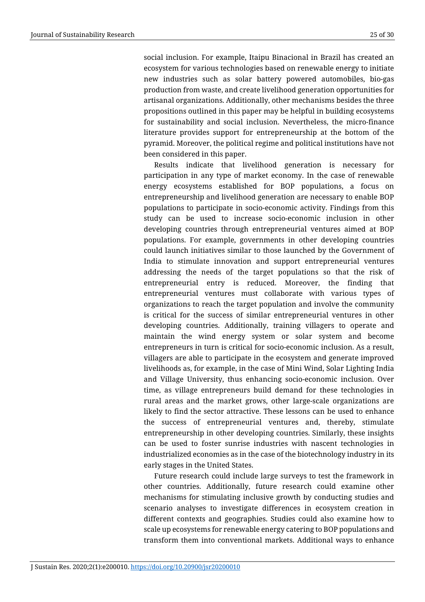social inclusion. For example, Itaipu Binacional in Brazil has created an ecosystem for various technologies based on renewable energy to initiate new industries such as solar battery powered automobiles, bio-gas production from waste, and create livelihood generation opportunities for artisanal organizations. Additionally, other mechanisms besides the three propositions outlined in this paper may be helpful in building ecosystems for sustainability and social inclusion. Nevertheless, the micro-finance literature provides support for entrepreneurship at the bottom of the pyramid. Moreover, the political regime and political institutions have not been considered in this paper.

Results indicate that livelihood generation is necessary for participation in any type of market economy. In the case of renewable energy ecosystems established for BOP populations, a focus on entrepreneurship and livelihood generation are necessary to enable BOP populations to participate in socio-economic activity. Findings from this study can be used to increase socio-economic inclusion in other developing countries through entrepreneurial ventures aimed at BOP populations. For example, governments in other developing countries could launch initiatives similar to those launched by the Government of India to stimulate innovation and support entrepreneurial ventures addressing the needs of the target populations so that the risk of entrepreneurial entry is reduced. Moreover, the finding that entrepreneurial ventures must collaborate with various types of organizations to reach the target population and involve the community is critical for the success of similar entrepreneurial ventures in other developing countries. Additionally, training villagers to operate and maintain the wind energy system or solar system and become entrepreneurs in turn is critical for socio-economic inclusion. As a result, villagers are able to participate in the ecosystem and generate improved livelihoods as, for example, in the case of Mini Wind, Solar Lighting India and Village University, thus enhancing socio-economic inclusion. Over time, as village entrepreneurs build demand for these technologies in rural areas and the market grows, other large-scale organizations are likely to find the sector attractive. These lessons can be used to enhance the success of entrepreneurial ventures and, thereby, stimulate entrepreneurship in other developing countries. Similarly, these insights can be used to foster sunrise industries with nascent technologies in industrialized economies as in the case of the biotechnology industry in its early stages in the United States.

Future research could include large surveys to test the framework in other countries. Additionally, future research could examine other mechanisms for stimulating inclusive growth by conducting studies and scenario analyses to investigate differences in ecosystem creation in different contexts and geographies. Studies could also examine how to scale up ecosystems for renewable energy catering to BOP populations and transform them into conventional markets. Additional ways to enhance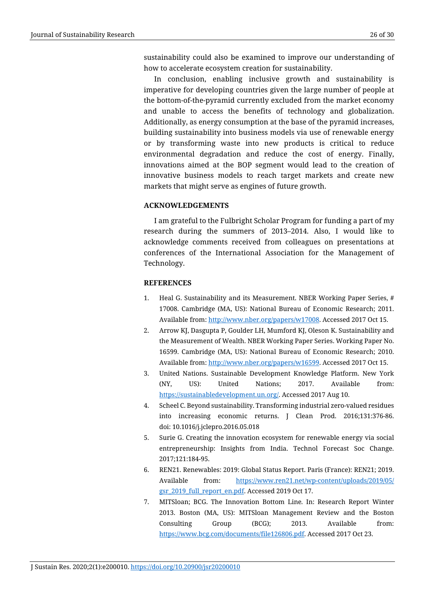sustainability could also be examined to improve our understanding of how to accelerate ecosystem creation for sustainability.

In conclusion, enabling inclusive growth and sustainability is imperative for developing countries given the large number of people at the bottom-of-the-pyramid currently excluded from the market economy and unable to access the benefits of technology and globalization. Additionally, as energy consumption at the base of the pyramid increases, building sustainability into business models via use of renewable energy or by transforming waste into new products is critical to reduce environmental degradation and reduce the cost of energy. Finally, innovations aimed at the BOP segment would lead to the creation of innovative business models to reach target markets and create new markets that might serve as engines of future growth.

## **ACKNOWLEDGEMENTS**

I am grateful to the Fulbright Scholar Program for funding a part of my research during the summers of 2013–2014. Also, I would like to acknowledge comments received from colleagues on presentations at conferences of the International Association for the Management of Technology.

## **REFERENCES**

- 1. Heal G. Sustainability and its Measurement. NBER Working Paper Series, # 17008. Cambridge (MA, US): National Bureau of Economic Research; 2011. Available from: http://www.nber.org/papers/w17008. Accessed 2017 Oct 15.
- 2. Arrow KJ, Dasgupta P, Goulder LH, Mumford KJ, Oleson K. Sustainability and the Measurement of Wealth. NBER Working Paper Series. Working Paper No. 16599. Cambridge (MA, US): National Bureau of Economic Research; 2010. Available from: [http://www.nber.org/papers/w16599.](http://www.nber.org/papers/w16599) Accessed 2017 Oct 15.
- 3. United Nations. Sustainable Development Knowledge Platform. New York (NY, US): United Nations; 2017. Available from: [https://sustainabledevelopment.un.org/.](https://sustainabledevelopment.un.org/) Accessed 2017 Aug 10.
- 4. Scheel C. Beyond sustainability. Transforming industrial zero-valued residues into increasing economic returns. J Clean Prod. 2016;131:376-86. doi: 10.1016/j.jclepro.2016.05.018
- 5. Surie G. Creating the innovation ecosystem for renewable energy via social entrepreneurship: Insights from India. Technol Forecast Soc Change. 2017;121:184-95.
- 6. REN21. Renewables: 2019: Global Status Report. Paris (France): REN21; 2019. Available from: [https://www.ren21.net/wp-content/uploads/2019/05/](https://www.ren21.net/wp-content/uploads/2019/05/gsr_2019_full_report_en.pdf) [gsr\\_2019\\_full\\_report\\_en.pdf.](https://www.ren21.net/wp-content/uploads/2019/05/gsr_2019_full_report_en.pdf) Accessed 2019 Oct 17.
- 7. MITSloan; BCG. The Innovation Bottom Line*.* In: Research Report Winter 2013. Boston (MA, US): MITSloan Management Review and the Boston Consulting Group (BCG); 2013. Available from: [https://www.bcg.com/documents/file126806.pdf.](https://www.bcg.com/documents/file126806.pdf) Accessed 2017 Oct 23.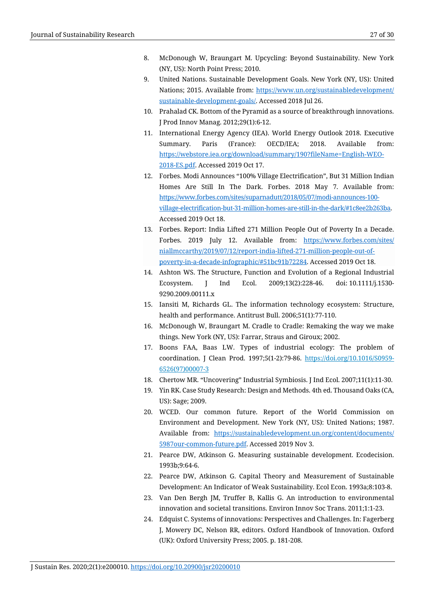- 8. McDonough W, Braungart M. Upcycling: Beyond Sustainability. New York (NY, US): North Point Press; 2010.
- 9. United Nations. Sustainable Development Goals. New York (NY, US): United Nations; 2015. Available from: [https://www.un.org/sustainabledevelopment/](https://www.un.org/sustainabledevelopment/sustainable-development-goals/) [sustainable-development-goals/.](https://www.un.org/sustainabledevelopment/sustainable-development-goals/) Accessed 2018 Jul 26.
- 10. Prahalad CK. Bottom of the Pyramid as a source of breakthrough innovations. J Prod Innov Manag. 2012;29(1):6-12.
- 11. International Energy Agency (IEA). World Energy Outlook 2018. Executive Summary. Paris (France): OECD/IEA; 2018. Available from: [https://webstore.iea.org/download/summary/190?fileName=English-WEO-](https://webstore.iea.org/download/summary/190?fileName=English-WEO-2018-ES.pdf)[2018-ES.pdf.](https://webstore.iea.org/download/summary/190?fileName=English-WEO-2018-ES.pdf) Accessed 2019 Oct 17.
- 12. Forbes. Modi Announces "100% Village Electrification", But 31 Million Indian Homes Are Still In The Dark. Forbes. 2018 May 7. Available from: [https://www.forbes.com/sites/suparnadutt/2018/05/07/modi-announces-100](https://www.forbes.com/sites/suparnadutt/2018/05/07/modi-announces-100-village-electrification-but-31-million-homes-are-still-in-the-dark/#1c8ee2b263ba) [village-electrification-but-31-million-homes-are-still-in-the-dark/#1c8ee2b263ba.](https://www.forbes.com/sites/suparnadutt/2018/05/07/modi-announces-100-village-electrification-but-31-million-homes-are-still-in-the-dark/#1c8ee2b263ba) Accessed 2019 Oct 18.
- 13. Forbes. Report: India Lifted 271 Million People Out of Poverty In a Decade. Forbes. 2019 July 12. Available from: [https://www.forbes.com/sites/](https://www.forbes.com/sites/niallmccarthy/2019/07/12/report-india-lifted-271-million-people-out-of-poverty-in-a-decade-infographic/#51bc91b72284) [niallmccarthy/2019/07/12/report-india-lifted-271-million-people-out-of](https://www.forbes.com/sites/niallmccarthy/2019/07/12/report-india-lifted-271-million-people-out-of-poverty-in-a-decade-infographic/#51bc91b72284)[poverty-in-a-decade-infographic/#51bc91b72284.](https://www.forbes.com/sites/niallmccarthy/2019/07/12/report-india-lifted-271-million-people-out-of-poverty-in-a-decade-infographic/#51bc91b72284) Accessed 2019 Oct 18.
- 14. Ashton WS. The Structure, Function and Evolution of a Regional Industrial Ecosystem. J Ind Ecol. 2009;13(2):228-46. doi: 10.1111/j.1530- 9290.2009.00111.x
- 15. Iansiti M, Richards GL. The information technology ecosystem: Structure, health and performance. Antitrust Bull. 2006;51(1):77-110.
- 16. McDonough W, Braungart M. Cradle to Cradle: Remaking the way we make things. New York (NY, US): [Farrar, Straus and Giroux;](https://www.google.com/search?q=Farrar,+Straus+and+Giroux&stick=H4sIAAAAAAAAAOPgE-LUz9U3SCqOrzBRAjONTQzNcrXUMsqt9JPzc3JSk0sy8_P0y4syS0pS8-LL84uyi60KSpNyMoszUosAtDbXGUAAAAA&sa=X&ved=0ahUKEwjO-NvQrZHXAhUJ3YMKHbgADxUQmxMI6QEoATAl) 2002.
- 17. Boons FAA, Baas LW. Types of industrial ecology: The problem of coordination. J Clean Prod. 1997;5(1-2):79-86. [https://doi.org/10.1016/S0959-](https://doi-org.libproxy.adelphi.edu/10.1016/S0959-6526(97)00007-3) [6526\(97\)00007-3](https://doi-org.libproxy.adelphi.edu/10.1016/S0959-6526(97)00007-3)
- 18. Chertow MR. "Uncovering" Industrial Symbiosis. J Ind Ecol. 2007;11(1):11-30.
- 19. Yin RK. Case Study Research: Design and Methods. 4th ed. Thousand Oaks (CA, US): Sage; 2009.
- 20. WCED. Our common future. Report of the World Commission on Environment and Development. New York (NY, US): United Nations; 1987. Available from: [https://sustainabledevelopment.un.org/content/documents/](https://sustainabledevelopment.un.org/content/documents/5987our-common-future.pdf) [5987our-common-future.pdf.](https://sustainabledevelopment.un.org/content/documents/5987our-common-future.pdf) Accessed 2019 Nov 3.
- 21. Pearce DW, Atkinson G. Measuring sustainable development. Ecodecision. 1993b;9:64-6.
- 22. Pearce DW, Atkinson G. Capital Theory and Measurement of Sustainable Development: An Indicator of Weak Sustainability. Ecol Econ. 1993a;8:103-8.
- 23. Van Den Bergh JM, Truffer B, Kallis G. An introduction to environmental innovation and societal transitions. Environ Innov Soc Trans. 2011;1:1-23.
- 24. Edquist C. Systems of innovations: Perspectives and Challenges. In: Fagerberg J, Mowery DC, Nelson RR, editors. Oxford Handbook of Innovation. Oxford (UK): Oxford University Press; 2005. p. 181-208.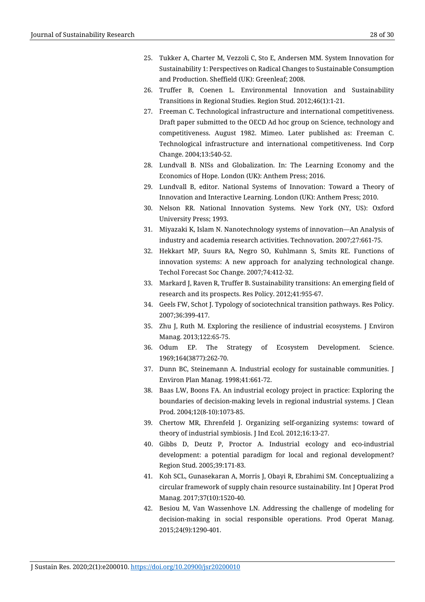- 25. Tukker A, Charter M, Vezzoli C, Sto E, Andersen MM. System Innovation for Sustainability 1: Perspectives on Radical Changes to Sustainable Consumption and Production. Sheffield (UK): Greenleaf; 2008.
- 26. Truffer B, Coenen L. Environmental Innovation and Sustainability Transitions in Regional Studies. Region Stud. 2012;46(1):1-21.
- 27. Freeman C. Technological infrastructure and international competitiveness. Draft paper submitted to the OECD Ad hoc group on Science, technology and competitiveness. August 1982. Mimeo. Later published as: Freeman C. Technological infrastructure and international competitiveness. Ind Corp Change. 2004;13:540-52.
- 28. Lundvall B. NISs and Globalization. In: The Learning Economy and the Economics of Hope. London (UK): Anthem Press; 2016.
- 29. Lundvall B, editor. National Systems of Innovation: Toward a Theory of Innovation and Interactive Learning. London (UK): Anthem Press; 2010.
- 30. Nelson RR. National Innovation Systems. New York (NY, US): Oxford University Press; 1993.
- 31. Miyazaki K, Islam N. Nanotechnology systems of innovation—An Analysis of industry and academia research activities. Technovation. 2007;27:661-75.
- 32. Hekkart MP, Suurs RA, Negro SO, Kuhlmann S, Smits RE. Functions of innovation systems: A new approach for analyzing technological change. Techol Forecast Soc Change. 2007;74:412-32.
- 33. Markard J, Raven R, Truffer B. Sustainability transitions: An emerging field of research and its prospects. Res Policy. 2012;41:955-67.
- 34. Geels FW, Schot J. Typology of sociotechnical transition pathways. Res Policy. 2007;36:399-417.
- 35. Zhu J, Ruth M. Exploring the resilience of industrial ecosystems. J Environ Manag. 2013;122:65-75.
- 36. Odum EP. The Strategy of Ecosystem Development. Science. 1969;164(3877):262-70.
- 37. Dunn BC, Steinemann A. Industrial ecology for sustainable communities. J Environ Plan Manag. 1998;41:661-72.
- 38. Baas LW, Boons FA. An industrial ecology project in practice: Exploring the boundaries of decision-making levels in regional industrial systems. J Clean Prod. 2004;12(8-10):1073-85.
- 39. Chertow MR, Ehrenfeld J. Organizing self-organizing systems: toward of theory of industrial symbiosis. J Ind Ecol. 2012;16:13-27.
- 40. Gibbs D, Deutz P, Proctor A. Industrial ecology and eco-industrial development: a potential paradigm for local and regional development? Region Stud. 2005;39:171-83.
- 41. Koh SCL, Gunasekaran A, Morris J, Obayi R, Ebrahimi SM. Conceptualizing a circular framework of supply chain resource sustainability. Int J Operat Prod Manag. 2017;37(10):1520-40.
- 42. Besiou M, Van Wassenhove LN. Addressing the challenge of modeling for decision-making in social responsible operations. Prod Operat Manag. 2015;24(9):1290-401.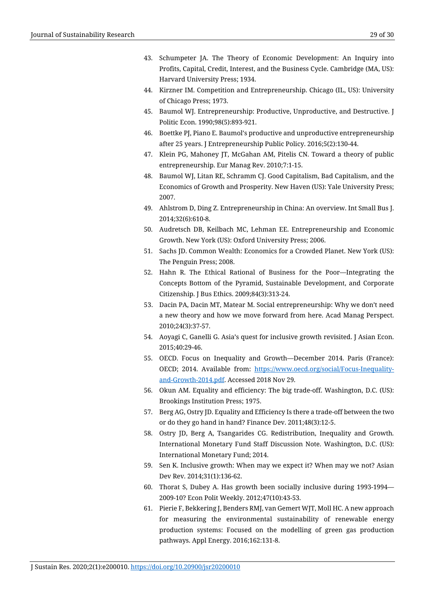- 43. Schumpeter JA. The Theory of Economic Development: An Inquiry into Profits, Capital, Credit, Interest, and the Business Cycle. Cambridge (MA, US): Harvard University Press; 1934.
- 44. Kirzner IM. Competition and Entrepreneurship. Chicago (IL, US): University of Chicago Press; 1973.
- 45. Baumol WJ. Entrepreneurship: Productive, Unproductive, and Destructive. J Politic Econ. 1990;98(5):893-921.
- 46. Boettke PJ[, Piano](https://www.emeraldinsight.com/author/Piano%2C+Ennio) E. Baumol's productive and unproductive entrepreneurship after 25 years. J Entrepreneurship Public Policy. 2016;5(2):130-44.
- 47. Klein PG, Mahoney JT, McGahan AM, Pitelis CN. Toward a theory of public entrepreneurship. Eur Manag Rev. 2010;7:1-15.
- 48. Baumol WJ, Litan RE, Schramm CJ. Good Capitalism, Bad Capitalism, and the Economics of Growth and Prosperity. New Haven (US): Yale University Press; 2007.
- 49. Ahlstrom D, Ding Z. Entrepreneurship in China: An overview. Int Small Bus J. 2014;32(6):610-8.
- 50. Audretsch DB, Keilbach MC, Lehman EE. Entrepreneurship and Economic Growth. New York (US): Oxford University Press; 2006.
- 51. Sachs JD. Common Wealth: Economics for a Crowded Planet. New York (US): The Penguin Press; 2008.
- 52. Hahn R. The Ethical Rational of Business for the Poor—Integrating the Concepts Bottom of the Pyramid, Sustainable Development, and Corporate Citizenship. J Bus Ethics. 2009;84(3):313-24.
- 53. Dacin PA, Dacin MT, Matear M. Social entrepreneurship: Why we don't need a new theory and how we move forward from here. Acad Manag Perspect. 2010;24(3):37-57.
- 54. Aoyagi C, Ganelli G. Asia's quest for inclusive growth revisited. J Asian Econ. 2015;40:29-46.
- 55. OECD. Focus on Inequality and Growth—December 2014. Paris (France): OECD; 2014. Available from: [https://www.oecd.org/social/Focus-Inequality](https://www.oecd.org/social/Focus-Inequality-and-Growth-2014.pdf)[and-Growth-2014.pdf.](https://www.oecd.org/social/Focus-Inequality-and-Growth-2014.pdf) Accessed 2018 Nov 29.
- 56. Okun AM. Equality and efficiency: The big trade-off. Washington, D.C. (US): Brookings Institution Press; 1975.
- 57. Berg AG, Ostry JD. Equality and Efficiency Is there a trade-off between the two or do they go hand in hand? Finance Dev. 2011;48(3):12-5.
- 58. Ostry JD, Berg A, Tsangarides CG. Redistribution, Inequality and Growth*.*  International Monetary Fund Staff Discussion Note. Washington, D.C. (US): International Monetary Fund; 2014.
- 59. Sen K. Inclusive growth: When may we expect it? When may we not? Asian Dev Rev. 2014;31(1):136-62.
- 60. Thorat S, Dubey A. Has growth been socially inclusive during 1993-1994— 2009-10? Econ Polit Weekly. 2012;47(10):43-53.
- 61. Pierie F, Bekkering J, Benders RMJ, van Gemert WJT, Moll HC. A new approach for measuring the environmental sustainability of renewable energy production systems: Focused on the modelling of green gas production pathways. Appl Energy. 2016;162:131-8.